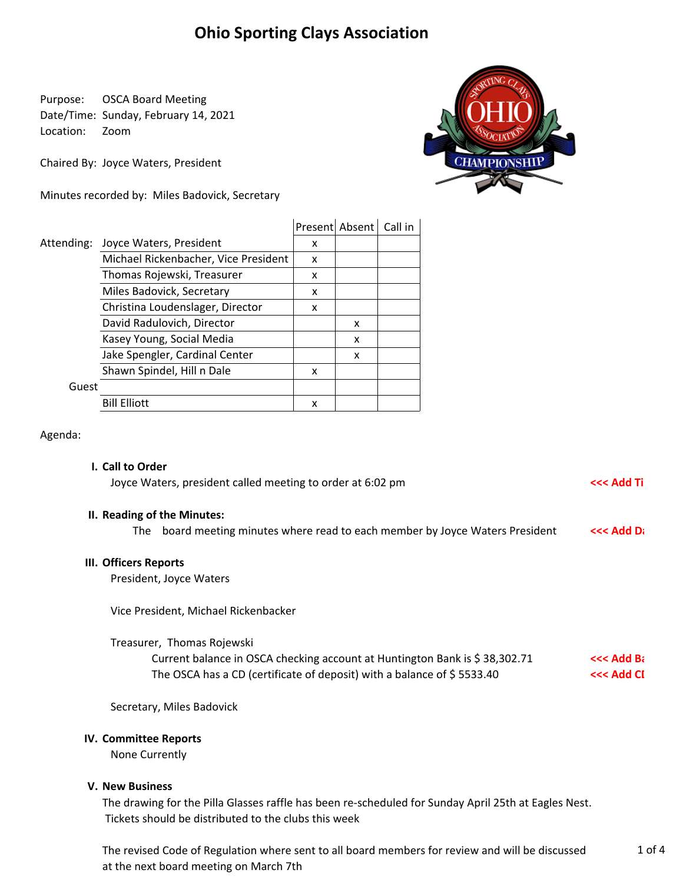# **Ohio Sporting Clays Association**

Purpose: OSCA Board Meeting Date/Time: Sunday, February 14, 2021 Location: Zoom

Chaired By: Joyce Waters, President

Minutes recorded by: Miles Badovick, Secretary



|            |                                      |   | Present Absent | Call in |
|------------|--------------------------------------|---|----------------|---------|
| Attending: | Joyce Waters, President              | x |                |         |
|            | Michael Rickenbacher, Vice President | x |                |         |
|            | Thomas Rojewski, Treasurer           | x |                |         |
|            | Miles Badovick, Secretary            | x |                |         |
|            | Christina Loudenslager, Director     | x |                |         |
|            | David Radulovich, Director           |   | x              |         |
|            | Kasey Young, Social Media            |   | x              |         |
|            | Jake Spengler, Cardinal Center       |   | x              |         |
|            | Shawn Spindel, Hill n Dale           | x |                |         |
| Guest      |                                      |   |                |         |
|            | <b>Bill Elliott</b>                  | x |                |         |
|            |                                      |   |                |         |

#### Agenda:

| I. Call to Order                                                                 |             |
|----------------------------------------------------------------------------------|-------------|
| Joyce Waters, president called meeting to order at 6:02 pm                       | <<< Add Ti  |
| II. Reading of the Minutes:                                                      |             |
| board meeting minutes where read to each member by Joyce Waters President<br>The | $<<$ Add D: |
| <b>III. Officers Reports</b>                                                     |             |
| President, Joyce Waters                                                          |             |
| Vice President, Michael Rickenbacker                                             |             |
| Treasurer, Thomas Rojewski                                                       |             |
| Current balance in OSCA checking account at Huntington Bank is \$38,302.71       | $<<$ Add Ba |
| The OSCA has a CD (certificate of deposit) with a balance of \$5533.40           | <<< Add CI  |
| Secretary, Miles Badovick                                                        |             |
| IV. Committee Reports                                                            |             |
| None Currently                                                                   |             |
| <b>V. New Business</b>                                                           |             |

The drawing for the Pilla Glasses raffle has been re‐scheduled for Sunday April 25th at Eagles Nest. Tickets should be distributed to the clubs this week

The revised Code of Regulation where sent to all board members for review and will be discussed at the next board meeting on March 7th 1 of 4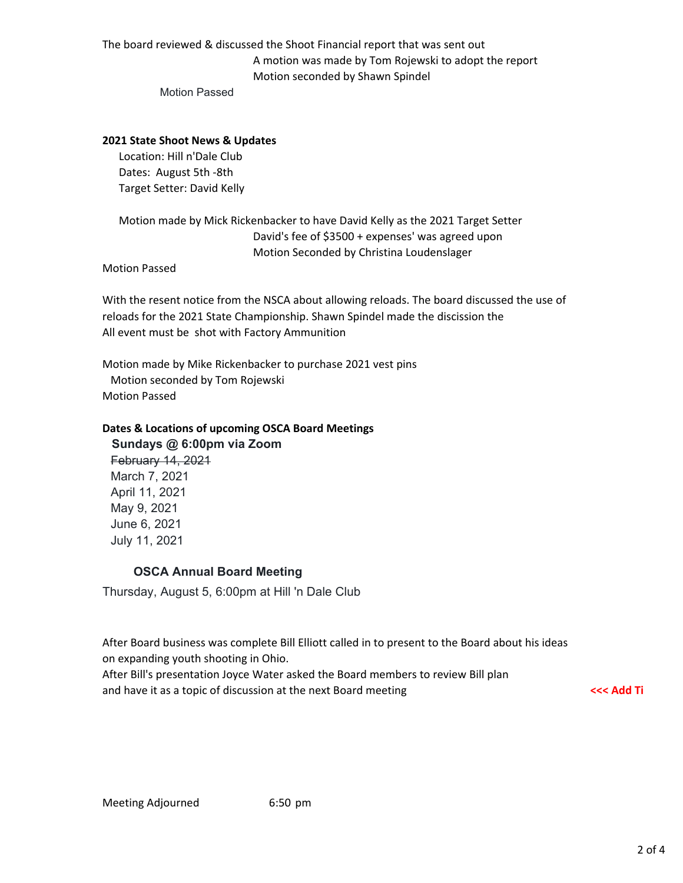The board reviewed & discussed the Shoot Financial report that was sent out A motion was made by Tom Rojewski to adopt the report Motion seconded by Shawn Spindel

Motion Passed

### **2021 State Shoot News & Updates**

Location: Hill n'Dale Club Dates: August 5th ‐8th Target Setter: David Kelly

Motion made by Mick Rickenbacker to have David Kelly as the 2021 Target Setter David's fee of \$3500 + expenses' was agreed upon Motion Seconded by Christina Loudenslager

Motion Passed

With the resent notice from the NSCA about allowing reloads. The board discussed the use of reloads for the 2021 State Championship. Shawn Spindel made the discission the All event must be shot with Factory Ammunition

Motion made by Mike Rickenbacker to purchase 2021 vest pins Motion seconded by Tom Rojewski Motion Passed

### **Dates & Locations of upcoming OSCA Board Meetings**

February 14, 2021 March 7, 2021 April 11, 2021 May 9, 2021 June 6, 2021 July 11, 2021 **Sundays @ 6:00pm via Zoom**

## **OSCA Annual Board Meeting**

Thursday, August 5, 6:00pm at Hill 'n Dale Club

After Board business was complete Bill Elliott called in to present to the Board about his ideas on expanding youth shooting in Ohio.

After Bill's presentation Joyce Water asked the Board members to review Bill plan and have it as a topic of discussion at the next Board meeting **<<< Add Ti**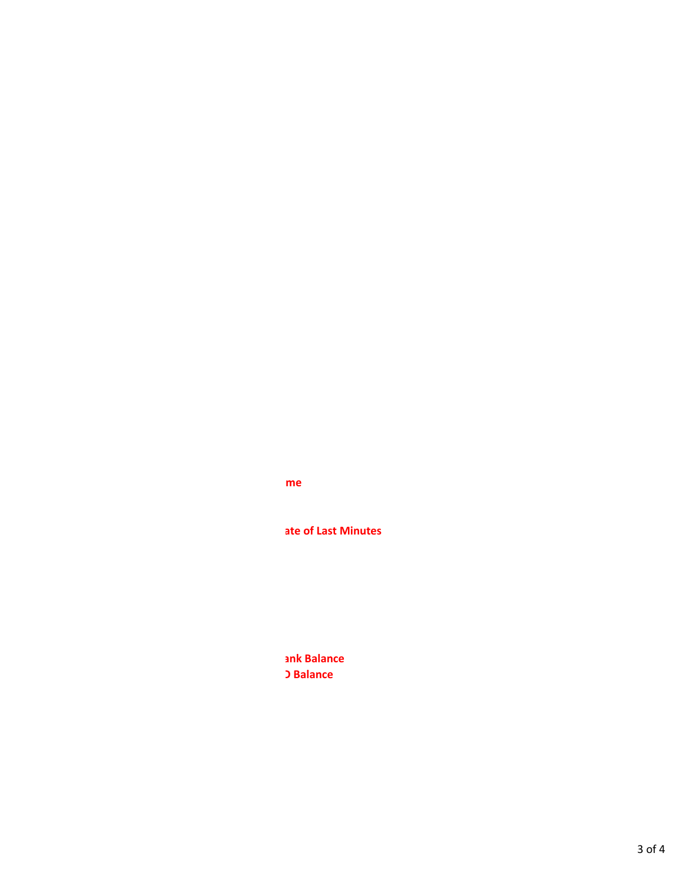me

ate of Last Minutes

ank Balance **D** Balance